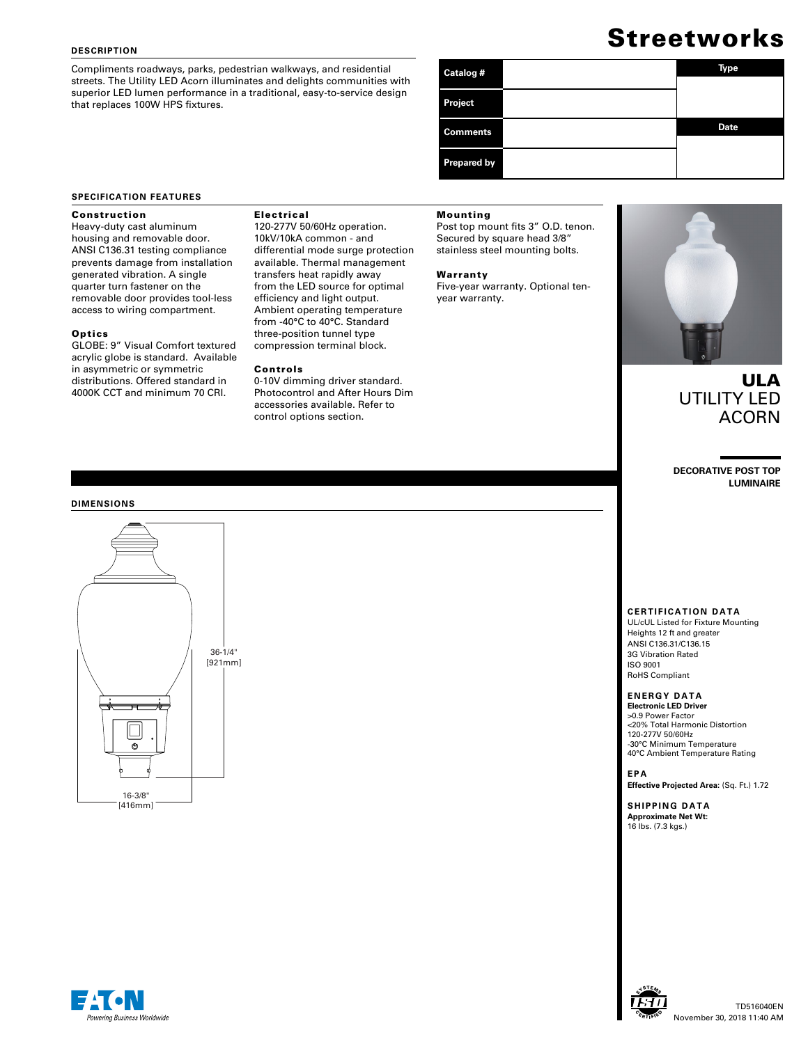### **DESCRIPTION**

Compliments roadways, parks, pedestrian walkways, and residential streets. The Utility LED Acorn illuminates and delights communities with superior LED lumen performance in a traditional, easy-to-service design that replaces 100W HPS fixtures.

# **Streetworks**

| Catalog #          | Type        |
|--------------------|-------------|
| Project            |             |
| <b>Comments</b>    | <b>Date</b> |
| <b>Prepared by</b> |             |

### **SPECIFICATION FEATURES**

### Construction

Heavy-duty cast aluminum housing and removable door. ANSI C136.31 testing compliance prevents damage from installation generated vibration. A single quarter turn fastener on the removable door provides tool-less access to wiring compartment.

### **Optics**

GLOBE: 9" Visual Comfort textured acrylic globe is standard. Available in asymmetric or symmetric distributions. Offered standard in 4000K CCT and minimum 70 CRI.

## Electrical

120-277V 50/60Hz operation. 10kV/10kA common - and differential mode surge protection available. Thermal management transfers heat rapidly away from the LED source for optimal efficiency and light output. Ambient operating temperature from -40°C to 40°C. Standard three-position tunnel type compression terminal block.

### Controls

# Mounting

Post top mount fits 3" O.D. tenon. Secured by square head 3/8" stainless steel mounting bolts.

#### Warranty

Five-year warranty. Optional tenyear warranty.



# ULA UTILITY LED ACORN

**DECORATIVE POST TOP LUMINAIRE**

#### **DIMENSIONS**



Photocontrol and After Hours Dim accessories available. Refer to control options section.

0-10V dimming driver standard.

# **CERTIFICATION DATA**

UL/cUL Listed for Fixture Mounting Heights 12 ft and greater ANSI C136.31/C136.15 3G Vibration Rated ISO 9001 RoHS Compliant

# **ENERGY DATA**

**Electronic LED Driver** >0.9 Power Factor <20% Total Harmonic Distortion 120-277V 50/60Hz -30°C Minimum Temperature 40°C Ambient Temperature Rating

# **EPA**

**Effective Projected Area:** (Sq. Ft.) 1.72

**SHIPPING DATA Approximate Net Wt:** 16 lbs. (7.3 kgs.)



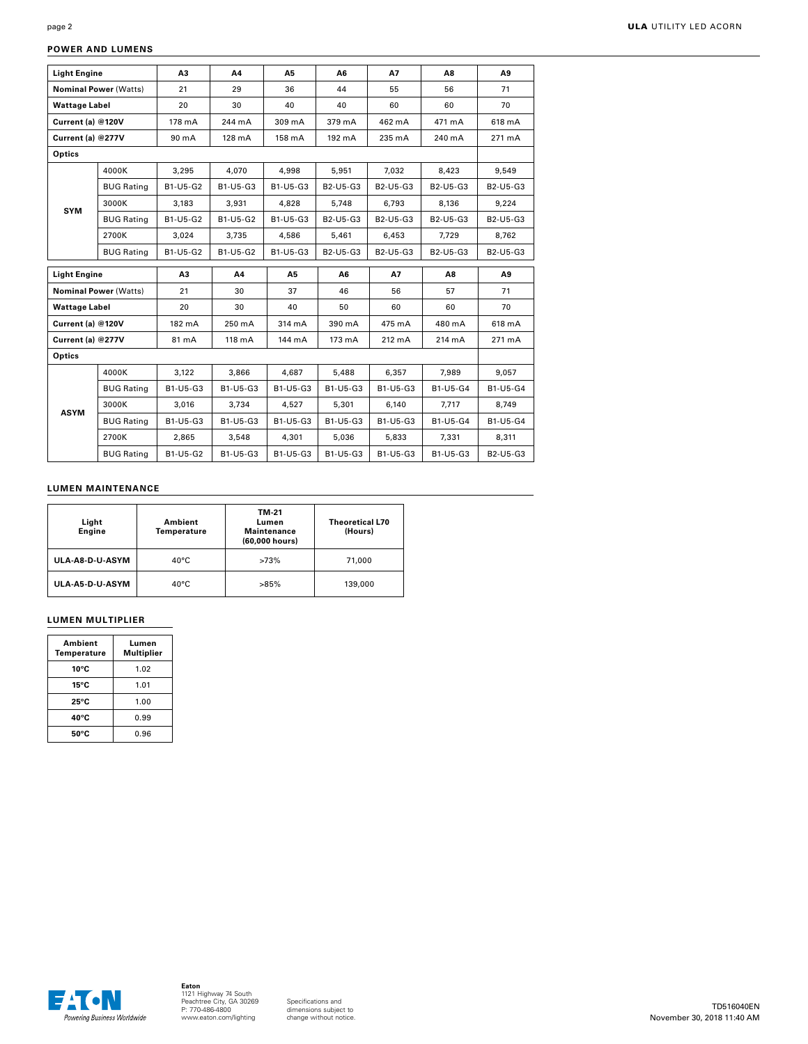# **POWER AND LUMENS**

| <b>Light Engine</b>          |                              | A3       | A4       | <b>A5</b> | A6       | A7        | A8       | A9       |
|------------------------------|------------------------------|----------|----------|-----------|----------|-----------|----------|----------|
| <b>Nominal Power (Watts)</b> |                              | 21       | 29       | 36        | 44       | 55        | 56       | 71       |
| <b>Wattage Label</b>         |                              | 20       | 30       | 40        | 40       | 60        | 60       | 70       |
| Current (a) @120V            |                              | 178 mA   | 244 mA   | 309 mA    | 379 mA   | 462 mA    | 471 mA   | 618 mA   |
| Current (a) @277V            |                              | 90 mA    | 128 mA   | 158 mA    | 192 mA   | 235 mA    | 240 mA   | 271 mA   |
| <b>Optics</b>                |                              |          |          |           |          |           |          |          |
|                              | 4000K                        | 3,295    | 4.070    | 4.998     | 5,951    | 7,032     | 8.423    | 9,549    |
|                              | <b>BUG Rating</b>            | B1-U5-G2 | B1-U5-G3 | B1-U5-G3  | B2-U5-G3 | B2-U5-G3  | B2-U5-G3 | B2-U5-G3 |
| <b>SYM</b>                   | 3000K                        | 3.183    | 3.931    | 4.828     | 5.748    | 6.793     | 8.136    | 9.224    |
|                              | <b>BUG Rating</b>            | B1-U5-G2 | B1-U5-G2 | B1-U5-G3  | B2-U5-G3 | B2-U5-G3  | B2-U5-G3 | B2-U5-G3 |
|                              | 2700K                        | 3.024    | 3,735    | 4,586     | 5,461    | 6,453     | 7,729    | 8,762    |
| <b>BUG Rating</b>            |                              | B1-U5-G2 | B1-U5-G2 | B1-U5-G3  | B2-U5-G3 | B2-U5-G3  | B2-U5-G3 | B2-U5-G3 |
|                              |                              |          |          |           |          |           |          |          |
| <b>Light Engine</b>          |                              | A3       | A4       | A5        | A6       | <b>A7</b> | A8       | A9       |
|                              | <b>Nominal Power (Watts)</b> | 21       | 30       | 37        | 46       | 56        | 57       | 71       |
| <b>Wattage Label</b>         |                              | 20       | 30       | 40        | 50       | 60        | 60       | 70       |
| Current (a) @120V            |                              | 182 mA   | 250 mA   | 314 mA    | 390 mA   | 475 mA    | 480 mA   | 618 mA   |
| Current (a) @277V            |                              | 81 mA    | 118 mA   | 144 mA    | 173 mA   | 212 mA    | 214 mA   | 271 mA   |
| Optics                       |                              |          |          |           |          |           |          |          |
|                              | 4000K                        | 3,122    | 3,866    | 4.687     | 5.488    | 6,357     | 7,989    | 9,057    |
|                              | <b>BUG Rating</b>            | B1-U5-G3 | B1-U5-G3 | B1-U5-G3  | B1-U5-G3 | B1-U5-G3  | B1-U5-G4 | B1-U5-G4 |
|                              | 3000K                        | 3.016    | 3.734    | 4.527     | 5,301    | 6.140     | 7.717    | 8.749    |
| <b>ASYM</b>                  | <b>BUG Rating</b>            | B1-U5-G3 | B1-U5-G3 | B1-U5-G3  | B1-U5-G3 | B1-U5-G3  | B1-U5-G4 | B1-U5-G4 |
|                              | 2700K                        | 2.865    | 3,548    | 4,301     | 5,036    | 5,833     | 7,331    | 8,311    |

# **LUMEN MAINTENANCE**

| Light<br><b>Engine</b> | Ambient<br>Temperature | TM-21<br>Lumen<br><b>Maintenance</b><br>(60,000 hours) | <b>Theoretical L70</b><br>(Hours) |  |
|------------------------|------------------------|--------------------------------------------------------|-----------------------------------|--|
| ULA-A8-D-U-ASYM        | $40^{\circ}$ C         | >73%                                                   | 71,000                            |  |
| ULA-A5-D-U-ASYM        | $40^{\circ}$ C         | >85%                                                   | 139,000                           |  |

# **LUMEN MULTIPLIER**

| Ambient<br>Temperature | Lumen<br><b>Multiplier</b> |
|------------------------|----------------------------|
| 10°C                   | 1.02                       |
| $15^{\circ}$ C         | 1.01                       |
| 25°C                   | 1.00                       |
| 40°C                   | 0.99                       |
| 50°C                   | 0.96                       |